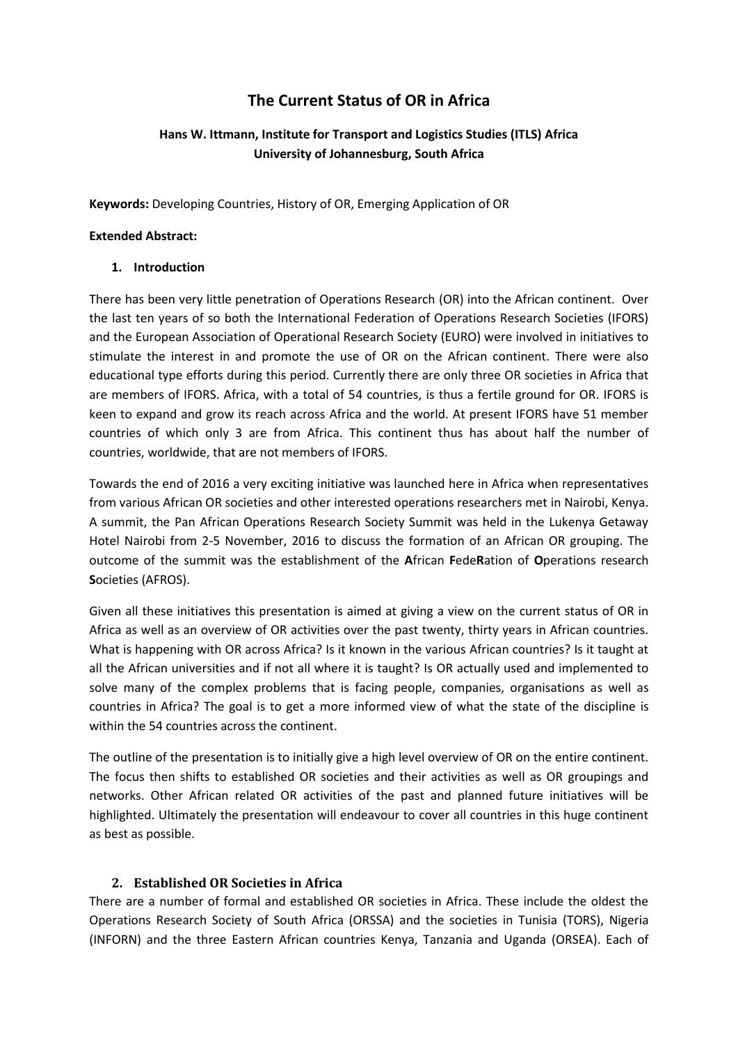# **The Current Status of OR in Africa**

# **Hans W. Ittmann, Institute for Transport and Logistics Studies (ITLS) Africa University of Johannesburg, South Africa**

**Keywords:** Developing Countries, History of OR, Emerging Application of OR

#### **Extended Abstract:**

#### **1. Introduction**

There has been very little penetration of Operations Research (OR) into the African continent. Over the last ten years of so both the International Federation of Operations Research Societies (IFORS) and the European Association of Operational Research Society (EURO) were involved in initiatives to stimulate the interest in and promote the use of OR on the African continent. There were also educational type efforts during this period. Currently there are only three OR societies in Africa that are members of IFORS. Africa, with a total of 54 countries, is thus a fertile ground for OR. IFORS is keen to expand and grow its reach across Africa and the world. At present IFORS have 51 member countries of which only 3 are from Africa. This continent thus has about half the number of countries, worldwide, that are not members of IFORS.

Towards the end of 2016 a very exciting initiative was launched here in Africa when representatives from various African OR societies and other interested operations researchers met in Nairobi, Kenya. A summit, the Pan African Operations Research Society Summit was held in the Lukenya Getaway Hotel Nairobi from 2-5 November, 2016 to discuss the formation of an African OR grouping. The outcome of the summit was the establishment of the **A**frican **F**ede**R**ation of **O**perations research **S**ocieties (AFROS).

Given all these initiatives this presentation is aimed at giving a view on the current status of OR in Africa as well as an overview of OR activities over the past twenty, thirty years in African countries. What is happening with OR across Africa? Is it known in the various African countries? Is it taught at all the African universities and if not all where it is taught? Is OR actually used and implemented to solve many of the complex problems that is facing people, companies, organisations as well as countries in Africa? The goal is to get a more informed view of what the state of the discipline is within the 54 countries across the continent.

The outline of the presentation is to initially give a high level overview of OR on the entire continent. The focus then shifts to established OR societies and their activities as well as OR groupings and networks. Other African related OR activities of the past and planned future initiatives will be highlighted. Ultimately the presentation will endeavour to cover all countries in this huge continent as best as possible.

# **2. Established OR Societies in Africa**

There are a number of formal and established OR societies in Africa. These include the oldest the Operations Research Society of South Africa (ORSSA) and the societies in Tunisia (TORS), Nigeria (INFORN) and the three Eastern African countries Kenya, Tanzania and Uganda (ORSEA). Each of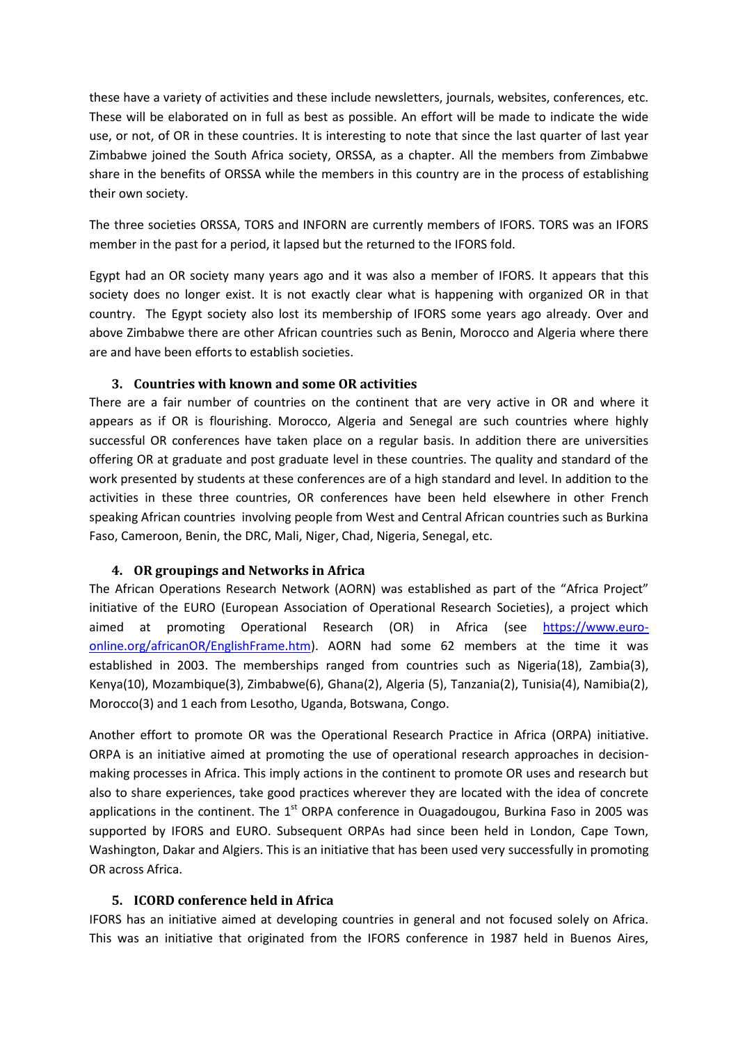these have a variety of activities and these include newsletters, journals, websites, conferences, etc. These will be elaborated on in full as best as possible. An effort will be made to indicate the wide use, or not, of OR in these countries. It is interesting to note that since the last quarter of last year Zimbabwe joined the South Africa society, ORSSA, as a chapter. All the members from Zimbabwe share in the benefits of ORSSA while the members in this country are in the process of establishing their own society.

The three societies ORSSA, TORS and INFORN are currently members of IFORS. TORS was an IFORS member in the past for a period, it lapsed but the returned to the IFORS fold.

Egypt had an OR society many years ago and it was also a member of IFORS. It appears that this society does no longer exist. It is not exactly clear what is happening with organized OR in that country. The Egypt society also lost its membership of IFORS some years ago already. Over and above Zimbabwe there are other African countries such as Benin, Morocco and Algeria where there are and have been efforts to establish societies.

# **3. Countries with known and some OR activities**

There are a fair number of countries on the continent that are very active in OR and where it appears as if OR is flourishing. Morocco, Algeria and Senegal are such countries where highly successful OR conferences have taken place on a regular basis. In addition there are universities offering OR at graduate and post graduate level in these countries. The quality and standard of the work presented by students at these conferences are of a high standard and level. In addition to the activities in these three countries, OR conferences have been held elsewhere in other French speaking African countries involving people from West and Central African countries such as Burkina Faso, Cameroon, Benin, the DRC, Mali, Niger, Chad, Nigeria, Senegal, etc.

# **4. OR groupings and Networks in Africa**

The African Operations Research Network (AORN) was established as part of the "Africa Project" initiative of the EURO (European Association of Operational Research Societies), a project which aimed at promoting Operational Research (OR) in Africa (see [https://www.euro](https://www.euro-online.org/africanOR/EnglishFrame.htm)[online.org/africanOR/EnglishFrame.htm\)](https://www.euro-online.org/africanOR/EnglishFrame.htm). AORN had some 62 members at the time it was established in 2003. The memberships ranged from countries such as Nigeria(18), Zambia(3), Kenya(10), Mozambique(3), Zimbabwe(6), Ghana(2), Algeria (5), Tanzania(2), Tunisia(4), Namibia(2), Morocco(3) and 1 each from Lesotho, Uganda, Botswana, Congo.

Another effort to promote OR was the Operational Research Practice in Africa (ORPA) initiative. ORPA is an initiative aimed at promoting the use of operational research approaches in decisionmaking processes in Africa. This imply actions in the continent to promote OR uses and research but also to share experiences, take good practices wherever they are located with the idea of concrete applications in the continent. The  $1<sup>st</sup>$  ORPA conference in Ouagadougou, Burkina Faso in 2005 was supported by IFORS and EURO. Subsequent ORPAs had since been held in London, Cape Town, Washington, Dakar and Algiers. This is an initiative that has been used very successfully in promoting OR across Africa.

# **5. ICORD conference held in Africa**

IFORS has an initiative aimed at developing countries in general and not focused solely on Africa. This was an initiative that originated from the IFORS conference in 1987 held in Buenos Aires,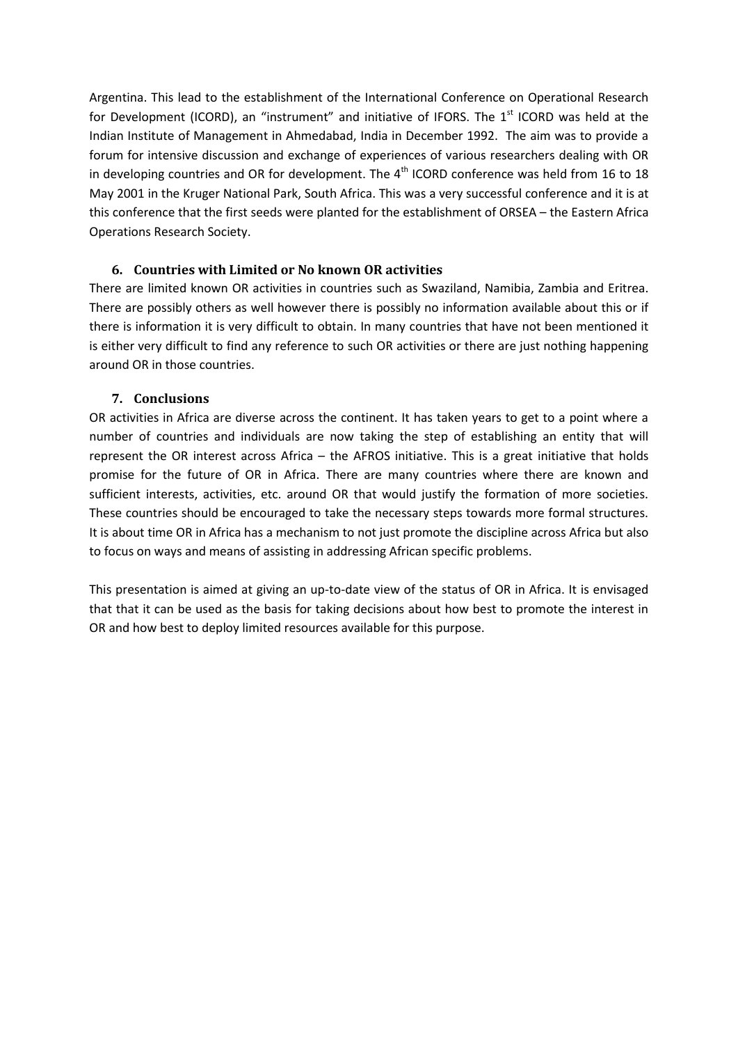Argentina. This lead to the establishment of the International Conference on Operational Research for Development (ICORD), an "instrument" and initiative of IFORS. The  $1<sup>st</sup>$  ICORD was held at the Indian Institute of Management in Ahmedabad, India in December 1992. The aim was to provide a forum for intensive discussion and exchange of experiences of various researchers dealing with OR in developing countries and OR for development. The  $4<sup>th</sup>$  ICORD conference was held from 16 to 18 May 2001 in the Kruger National Park, South Africa. This was a very successful conference and it is at this conference that the first seeds were planted for the establishment of ORSEA – the Eastern Africa Operations Research Society.

# **6. Countries with Limited or No known OR activities**

There are limited known OR activities in countries such as Swaziland, Namibia, Zambia and Eritrea. There are possibly others as well however there is possibly no information available about this or if there is information it is very difficult to obtain. In many countries that have not been mentioned it is either very difficult to find any reference to such OR activities or there are just nothing happening around OR in those countries.

#### **7. Conclusions**

OR activities in Africa are diverse across the continent. It has taken years to get to a point where a number of countries and individuals are now taking the step of establishing an entity that will represent the OR interest across Africa – the AFROS initiative. This is a great initiative that holds promise for the future of OR in Africa. There are many countries where there are known and sufficient interests, activities, etc. around OR that would justify the formation of more societies. These countries should be encouraged to take the necessary steps towards more formal structures. It is about time OR in Africa has a mechanism to not just promote the discipline across Africa but also to focus on ways and means of assisting in addressing African specific problems.

This presentation is aimed at giving an up-to-date view of the status of OR in Africa. It is envisaged that that it can be used as the basis for taking decisions about how best to promote the interest in OR and how best to deploy limited resources available for this purpose.